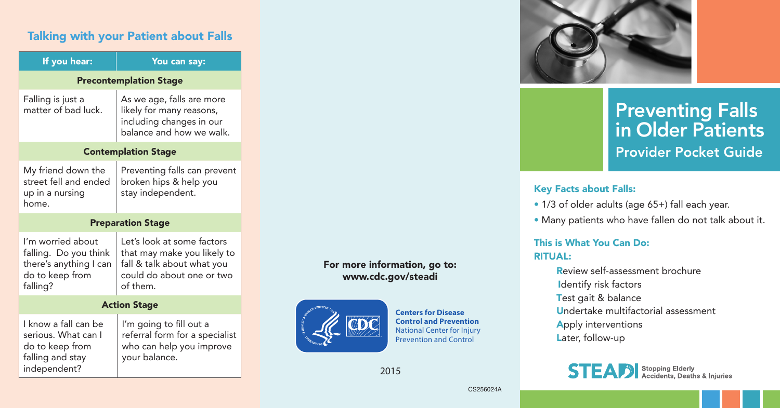# Talking with your Patient about Falls

| If you hear:                                                                                        | You can say:                                                                                                                     |
|-----------------------------------------------------------------------------------------------------|----------------------------------------------------------------------------------------------------------------------------------|
| <b>Precontemplation Stage</b>                                                                       |                                                                                                                                  |
| Falling is just a<br>matter of bad luck.                                                            | As we age, falls are more<br>likely for many reasons,<br>including changes in our<br>balance and how we walk.                    |
| <b>Contemplation Stage</b>                                                                          |                                                                                                                                  |
| My friend down the<br>street fell and ended<br>up in a nursing<br>home.                             | Preventing falls can prevent<br>broken hips & help you<br>stay independent.                                                      |
| <b>Preparation Stage</b>                                                                            |                                                                                                                                  |
| I'm worried about<br>falling. Do you think<br>there's anything I can<br>do to keep from<br>falling? | Let's look at some factors<br>that may make you likely to<br>fall & talk about what you<br>could do about one or two<br>of them. |
| <b>Action Stage</b>                                                                                 |                                                                                                                                  |
| I know a fall can be<br>serious. What can I<br>do to keep from<br>falling and stay<br>independent?  | I'm going to fill out a<br>referral form for a specialist<br>who can help you improve<br>your balance.                           |

#### For more information, go to: www.cdc.gov/steadi



**Centers for Disease Control and Prevention** National Center for Injury Prevention and Control

2015



# Preventing Falls in Older Patients Provider Pocket Guide

#### Key Facts about Falls:

- 1/3 of older adults (age 65+) fall each year.
- Many patients who have fallen do not talk about it.

#### This is What You Can Do: RITUAL:

Review self-assessment brochure Identify risk factors Test gait & balance Undertake multifactorial assessment Apply interventions Later, follow-up



CS256024A